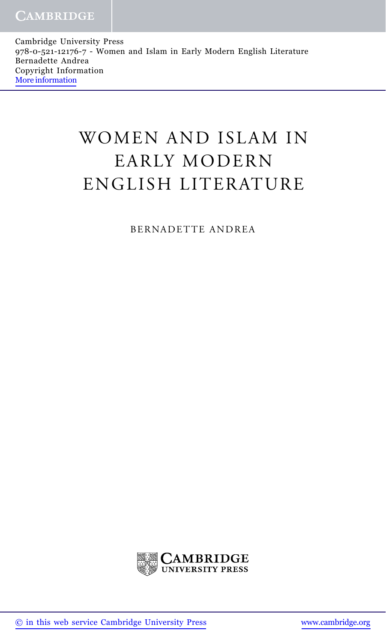Cambridge University Press 978-0-521-12176-7 - Women and Islam in Early Modern English Literature Bernadette Andrea Copyright Information [More information](http://www.cambridge.org/9780521121767)

## WOMEN AND ISLAM IN EARLY MODERN ENGLISH LITERATURE

BERNADETTE ANDREA